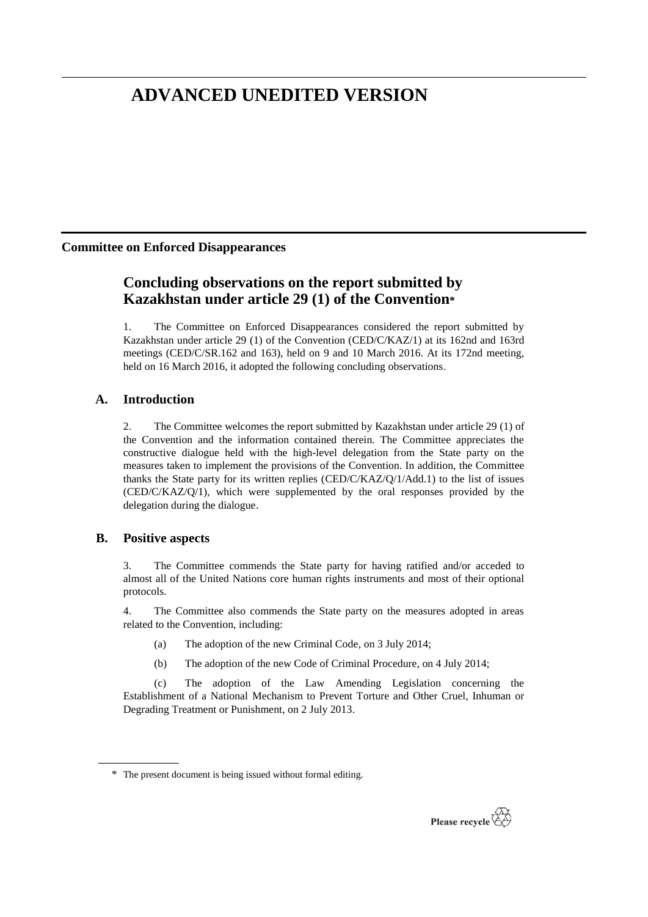# **ADVANCED UNEDITED VERSION**

# **Committee on Enforced Disappearances**

# **Concluding observations on the report submitted by Kazakhstan under article 29 (1) of the Convention\***

1. The Committee on Enforced Disappearances considered the report submitted by Kazakhstan under article 29 (1) of the Convention (CED/C/KAZ/1) at its 162nd and 163rd meetings (CED/C/SR.162 and 163), held on 9 and 10 March 2016. At its 172nd meeting, held on 16 March 2016, it adopted the following concluding observations.

# **A. Introduction**

2. The Committee welcomes the report submitted by Kazakhstan under article 29 (1) of the Convention and the information contained therein. The Committee appreciates the constructive dialogue held with the high-level delegation from the State party on the measures taken to implement the provisions of the Convention. In addition, the Committee thanks the State party for its written replies (CED/C/KAZ/Q/1/Add.1) to the list of issues (CED/C/KAZ/Q/1), which were supplemented by the oral responses provided by the delegation during the dialogue.

# **B. Positive aspects**

3. The Committee commends the State party for having ratified and/or acceded to almost all of the United Nations core human rights instruments and most of their optional protocols.

4. The Committee also commends the State party on the measures adopted in areas related to the Convention, including:

- (a) The adoption of the new Criminal Code, on 3 July 2014;
- (b) The adoption of the new Code of Criminal Procedure, on 4 July 2014;

(c) The adoption of the Law Amending Legislation concerning the Establishment of a National Mechanism to Prevent Torture and Other Cruel, Inhuman or Degrading Treatment or Punishment, on 2 July 2013.



<sup>\*</sup> The present document is being issued without formal editing.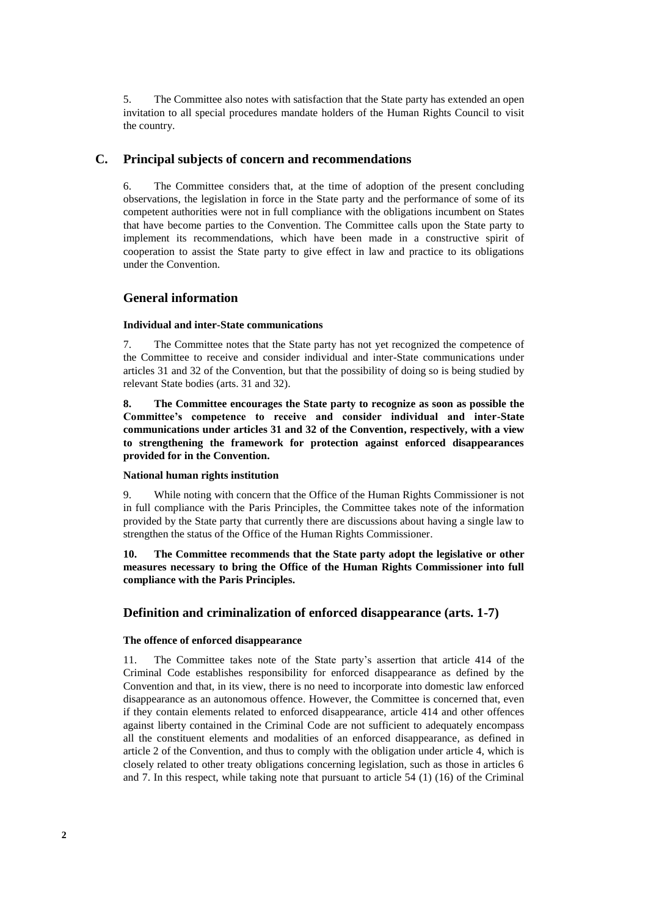5. The Committee also notes with satisfaction that the State party has extended an open invitation to all special procedures mandate holders of the Human Rights Council to visit the country.

# **C. Principal subjects of concern and recommendations**

6. The Committee considers that, at the time of adoption of the present concluding observations, the legislation in force in the State party and the performance of some of its competent authorities were not in full compliance with the obligations incumbent on States that have become parties to the Convention. The Committee calls upon the State party to implement its recommendations, which have been made in a constructive spirit of cooperation to assist the State party to give effect in law and practice to its obligations under the Convention.

### **General information**

#### **Individual and inter-State communications**

7. The Committee notes that the State party has not yet recognized the competence of the Committee to receive and consider individual and inter-State communications under articles 31 and 32 of the Convention, but that the possibility of doing so is being studied by relevant State bodies (arts. 31 and 32).

**8. The Committee encourages the State party to recognize as soon as possible the Committee's competence to receive and consider individual and inter-State communications under articles 31 and 32 of the Convention, respectively, with a view to strengthening the framework for protection against enforced disappearances provided for in the Convention.**

#### **National human rights institution**

9. While noting with concern that the Office of the Human Rights Commissioner is not in full compliance with the Paris Principles, the Committee takes note of the information provided by the State party that currently there are discussions about having a single law to strengthen the status of the Office of the Human Rights Commissioner.

**10. The Committee recommends that the State party adopt the legislative or other measures necessary to bring the Office of the Human Rights Commissioner into full compliance with the Paris Principles.**

## **Definition and criminalization of enforced disappearance (arts. 1-7)**

# **The offence of enforced disappearance**

11. The Committee takes note of the State party's assertion that article 414 of the Criminal Code establishes responsibility for enforced disappearance as defined by the Convention and that, in its view, there is no need to incorporate into domestic law enforced disappearance as an autonomous offence. However, the Committee is concerned that, even if they contain elements related to enforced disappearance, article 414 and other offences against liberty contained in the Criminal Code are not sufficient to adequately encompass all the constituent elements and modalities of an enforced disappearance, as defined in article 2 of the Convention, and thus to comply with the obligation under article 4, which is closely related to other treaty obligations concerning legislation, such as those in articles 6 and 7. In this respect, while taking note that pursuant to article 54 (1) (16) of the Criminal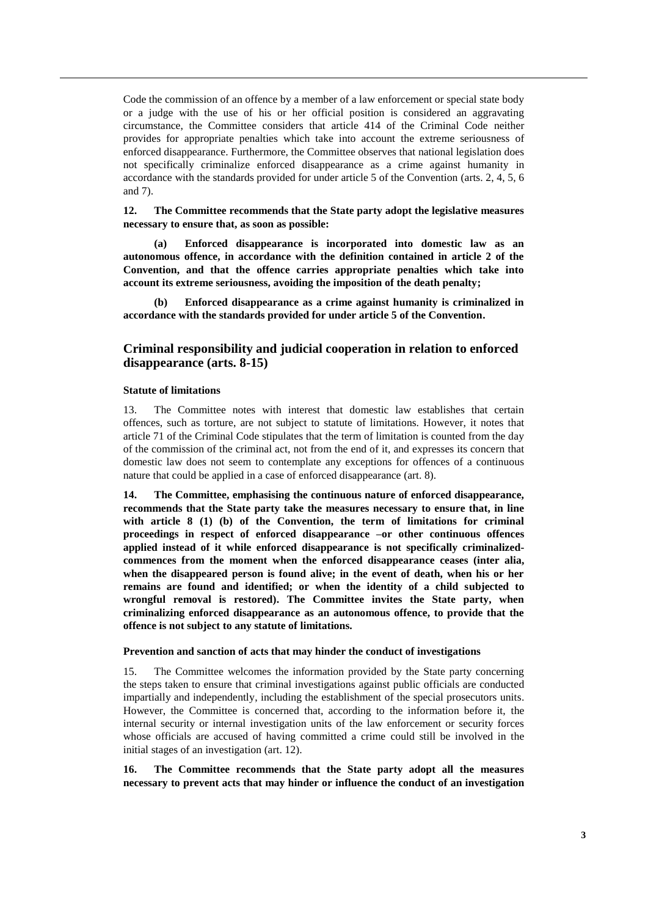Code the commission of an offence by a member of a law enforcement or special state body or a judge with the use of his or her official position is considered an aggravating circumstance, the Committee considers that article 414 of the Criminal Code neither provides for appropriate penalties which take into account the extreme seriousness of enforced disappearance. Furthermore, the Committee observes that national legislation does not specifically criminalize enforced disappearance as a crime against humanity in accordance with the standards provided for under article 5 of the Convention (arts. 2, 4, 5, 6 and 7).

**12. The Committee recommends that the State party adopt the legislative measures necessary to ensure that, as soon as possible:**

**(a) Enforced disappearance is incorporated into domestic law as an autonomous offence, in accordance with the definition contained in article 2 of the Convention, and that the offence carries appropriate penalties which take into account its extreme seriousness, avoiding the imposition of the death penalty;**

**(b) Enforced disappearance as a crime against humanity is criminalized in accordance with the standards provided for under article 5 of the Convention.**

# **Criminal responsibility and judicial cooperation in relation to enforced disappearance (arts. 8-15)**

### **Statute of limitations**

13. The Committee notes with interest that domestic law establishes that certain offences, such as torture, are not subject to statute of limitations. However, it notes that article 71 of the Criminal Code stipulates that the term of limitation is counted from the day of the commission of the criminal act, not from the end of it, and expresses its concern that domestic law does not seem to contemplate any exceptions for offences of a continuous nature that could be applied in a case of enforced disappearance (art. 8).

**14. The Committee, emphasising the continuous nature of enforced disappearance, recommends that the State party take the measures necessary to ensure that, in line with article 8 (1) (b) of the Convention, the term of limitations for criminal proceedings in respect of enforced disappearance –or other continuous offences applied instead of it while enforced disappearance is not specifically criminalizedcommences from the moment when the enforced disappearance ceases (inter alia, when the disappeared person is found alive; in the event of death, when his or her remains are found and identified; or when the identity of a child subjected to wrongful removal is restored). The Committee invites the State party, when criminalizing enforced disappearance as an autonomous offence, to provide that the offence is not subject to any statute of limitations.**

#### **Prevention and sanction of acts that may hinder the conduct of investigations**

15. The Committee welcomes the information provided by the State party concerning the steps taken to ensure that criminal investigations against public officials are conducted impartially and independently, including the establishment of the special prosecutors units. However, the Committee is concerned that, according to the information before it, the internal security or internal investigation units of the law enforcement or security forces whose officials are accused of having committed a crime could still be involved in the initial stages of an investigation (art. 12).

**16. The Committee recommends that the State party adopt all the measures necessary to prevent acts that may hinder or influence the conduct of an investigation**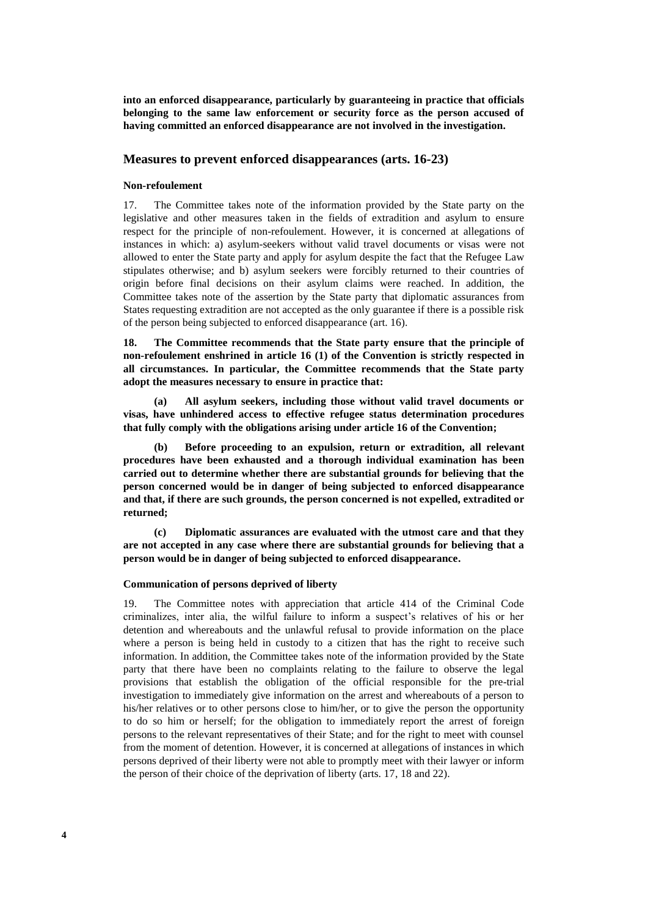**into an enforced disappearance, particularly by guaranteeing in practice that officials belonging to the same law enforcement or security force as the person accused of having committed an enforced disappearance are not involved in the investigation.**

### **Measures to prevent enforced disappearances (arts. 16-23)**

#### **Non-refoulement**

17. The Committee takes note of the information provided by the State party on the legislative and other measures taken in the fields of extradition and asylum to ensure respect for the principle of non-refoulement. However, it is concerned at allegations of instances in which: a) asylum-seekers without valid travel documents or visas were not allowed to enter the State party and apply for asylum despite the fact that the Refugee Law stipulates otherwise; and b) asylum seekers were forcibly returned to their countries of origin before final decisions on their asylum claims were reached. In addition, the Committee takes note of the assertion by the State party that diplomatic assurances from States requesting extradition are not accepted as the only guarantee if there is a possible risk of the person being subjected to enforced disappearance (art. 16).

**18. The Committee recommends that the State party ensure that the principle of non-refoulement enshrined in article 16 (1) of the Convention is strictly respected in all circumstances. In particular, the Committee recommends that the State party adopt the measures necessary to ensure in practice that:**

**(a) All asylum seekers, including those without valid travel documents or visas, have unhindered access to effective refugee status determination procedures that fully comply with the obligations arising under article 16 of the Convention;**

**(b) Before proceeding to an expulsion, return or extradition, all relevant procedures have been exhausted and a thorough individual examination has been carried out to determine whether there are substantial grounds for believing that the person concerned would be in danger of being subjected to enforced disappearance and that, if there are such grounds, the person concerned is not expelled, extradited or returned;**

**(c) Diplomatic assurances are evaluated with the utmost care and that they are not accepted in any case where there are substantial grounds for believing that a person would be in danger of being subjected to enforced disappearance.**

#### **Communication of persons deprived of liberty**

19. The Committee notes with appreciation that article 414 of the Criminal Code criminalizes, inter alia, the wilful failure to inform a suspect's relatives of his or her detention and whereabouts and the unlawful refusal to provide information on the place where a person is being held in custody to a citizen that has the right to receive such information. In addition, the Committee takes note of the information provided by the State party that there have been no complaints relating to the failure to observe the legal provisions that establish the obligation of the official responsible for the pre-trial investigation to immediately give information on the arrest and whereabouts of a person to his/her relatives or to other persons close to him/her, or to give the person the opportunity to do so him or herself; for the obligation to immediately report the arrest of foreign persons to the relevant representatives of their State; and for the right to meet with counsel from the moment of detention. However, it is concerned at allegations of instances in which persons deprived of their liberty were not able to promptly meet with their lawyer or inform the person of their choice of the deprivation of liberty (arts. 17, 18 and 22).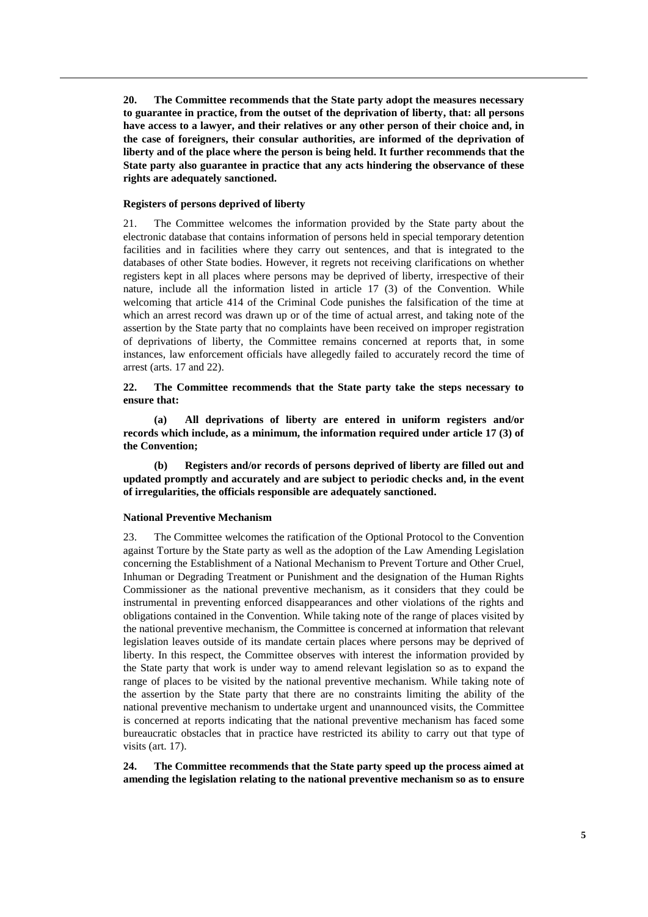**20. The Committee recommends that the State party adopt the measures necessary to guarantee in practice, from the outset of the deprivation of liberty, that: all persons have access to a lawyer, and their relatives or any other person of their choice and, in the case of foreigners, their consular authorities, are informed of the deprivation of liberty and of the place where the person is being held. It further recommends that the State party also guarantee in practice that any acts hindering the observance of these rights are adequately sanctioned.**

#### **Registers of persons deprived of liberty**

21. The Committee welcomes the information provided by the State party about the electronic database that contains information of persons held in special temporary detention facilities and in facilities where they carry out sentences, and that is integrated to the databases of other State bodies. However, it regrets not receiving clarifications on whether registers kept in all places where persons may be deprived of liberty, irrespective of their nature, include all the information listed in article 17 (3) of the Convention. While welcoming that article 414 of the Criminal Code punishes the falsification of the time at which an arrest record was drawn up or of the time of actual arrest, and taking note of the assertion by the State party that no complaints have been received on improper registration of deprivations of liberty, the Committee remains concerned at reports that, in some instances, law enforcement officials have allegedly failed to accurately record the time of arrest (arts. 17 and 22).

**22. The Committee recommends that the State party take the steps necessary to ensure that:**

**(a) All deprivations of liberty are entered in uniform registers and/or records which include, as a minimum, the information required under article 17 (3) of the Convention;**

**(b) Registers and/or records of persons deprived of liberty are filled out and updated promptly and accurately and are subject to periodic checks and, in the event of irregularities, the officials responsible are adequately sanctioned.**

### **National Preventive Mechanism**

23. The Committee welcomes the ratification of the Optional Protocol to the Convention against Torture by the State party as well as the adoption of the Law Amending Legislation concerning the Establishment of a National Mechanism to Prevent Torture and Other Cruel, Inhuman or Degrading Treatment or Punishment and the designation of the Human Rights Commissioner as the national preventive mechanism, as it considers that they could be instrumental in preventing enforced disappearances and other violations of the rights and obligations contained in the Convention. While taking note of the range of places visited by the national preventive mechanism, the Committee is concerned at information that relevant legislation leaves outside of its mandate certain places where persons may be deprived of liberty. In this respect, the Committee observes with interest the information provided by the State party that work is under way to amend relevant legislation so as to expand the range of places to be visited by the national preventive mechanism. While taking note of the assertion by the State party that there are no constraints limiting the ability of the national preventive mechanism to undertake urgent and unannounced visits, the Committee is concerned at reports indicating that the national preventive mechanism has faced some bureaucratic obstacles that in practice have restricted its ability to carry out that type of visits (art. 17).

**24. The Committee recommends that the State party speed up the process aimed at amending the legislation relating to the national preventive mechanism so as to ensure**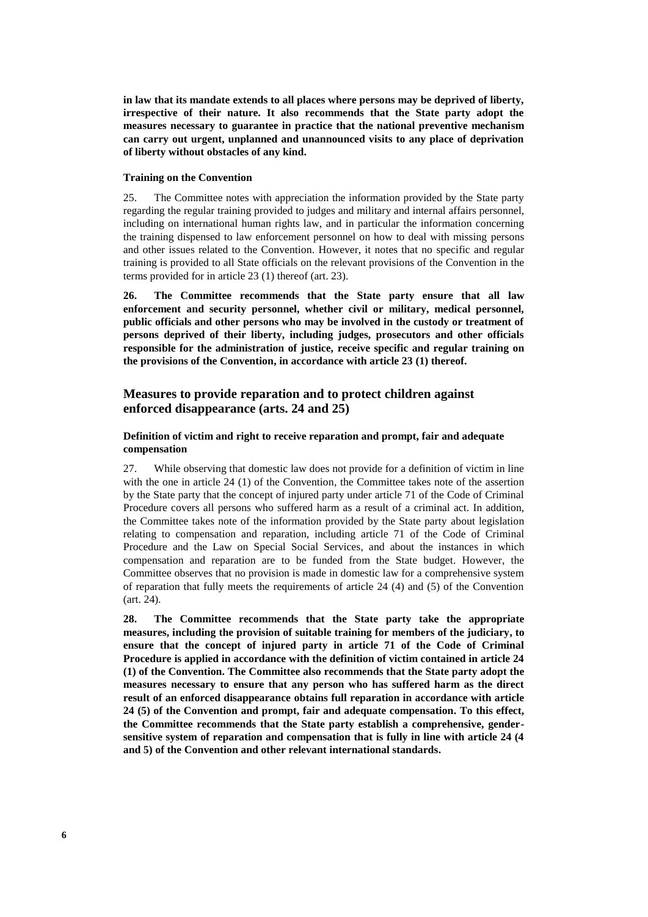**in law that its mandate extends to all places where persons may be deprived of liberty, irrespective of their nature. It also recommends that the State party adopt the measures necessary to guarantee in practice that the national preventive mechanism can carry out urgent, unplanned and unannounced visits to any place of deprivation of liberty without obstacles of any kind.**

### **Training on the Convention**

25. The Committee notes with appreciation the information provided by the State party regarding the regular training provided to judges and military and internal affairs personnel, including on international human rights law, and in particular the information concerning the training dispensed to law enforcement personnel on how to deal with missing persons and other issues related to the Convention. However, it notes that no specific and regular training is provided to all State officials on the relevant provisions of the Convention in the terms provided for in article 23 (1) thereof (art. 23).

**26. The Committee recommends that the State party ensure that all law enforcement and security personnel, whether civil or military, medical personnel, public officials and other persons who may be involved in the custody or treatment of persons deprived of their liberty, including judges, prosecutors and other officials responsible for the administration of justice, receive specific and regular training on the provisions of the Convention, in accordance with article 23 (1) thereof.**

# **Measures to provide reparation and to protect children against enforced disappearance (arts. 24 and 25)**

# **Definition of victim and right to receive reparation and prompt, fair and adequate compensation**

27. While observing that domestic law does not provide for a definition of victim in line with the one in article 24 (1) of the Convention, the Committee takes note of the assertion by the State party that the concept of injured party under article 71 of the Code of Criminal Procedure covers all persons who suffered harm as a result of a criminal act. In addition, the Committee takes note of the information provided by the State party about legislation relating to compensation and reparation, including article 71 of the Code of Criminal Procedure and the Law on Special Social Services, and about the instances in which compensation and reparation are to be funded from the State budget. However, the Committee observes that no provision is made in domestic law for a comprehensive system of reparation that fully meets the requirements of article 24 (4) and (5) of the Convention (art. 24).

**28. The Committee recommends that the State party take the appropriate measures, including the provision of suitable training for members of the judiciary, to ensure that the concept of injured party in article 71 of the Code of Criminal Procedure is applied in accordance with the definition of victim contained in article 24 (1) of the Convention. The Committee also recommends that the State party adopt the measures necessary to ensure that any person who has suffered harm as the direct result of an enforced disappearance obtains full reparation in accordance with article 24 (5) of the Convention and prompt, fair and adequate compensation. To this effect, the Committee recommends that the State party establish a comprehensive, gendersensitive system of reparation and compensation that is fully in line with article 24 (4 and 5) of the Convention and other relevant international standards.**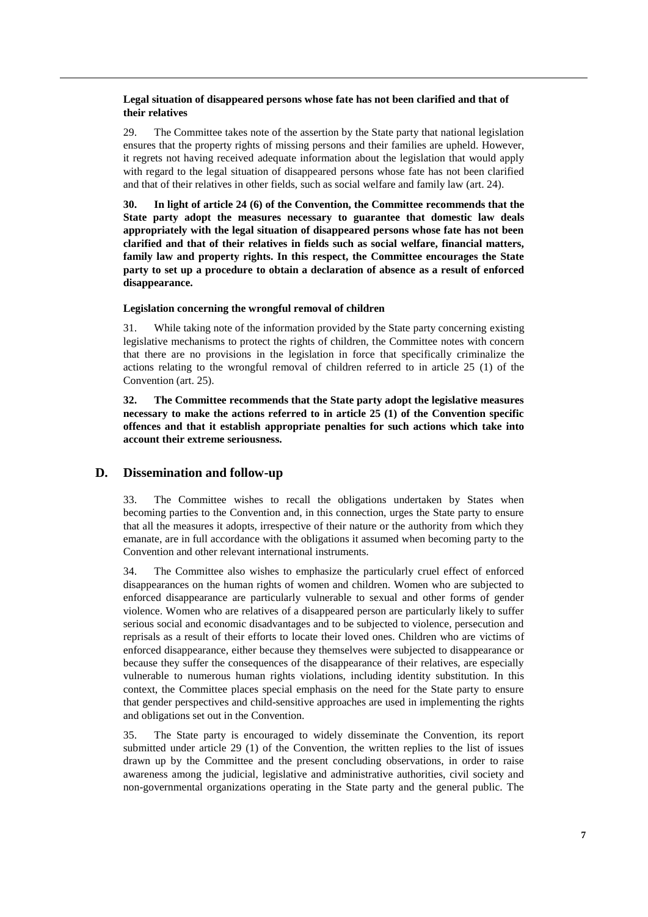### **Legal situation of disappeared persons whose fate has not been clarified and that of their relatives**

29. The Committee takes note of the assertion by the State party that national legislation ensures that the property rights of missing persons and their families are upheld. However, it regrets not having received adequate information about the legislation that would apply with regard to the legal situation of disappeared persons whose fate has not been clarified and that of their relatives in other fields, such as social welfare and family law (art. 24).

**30. In light of article 24 (6) of the Convention, the Committee recommends that the State party adopt the measures necessary to guarantee that domestic law deals appropriately with the legal situation of disappeared persons whose fate has not been clarified and that of their relatives in fields such as social welfare, financial matters, family law and property rights. In this respect, the Committee encourages the State party to set up a procedure to obtain a declaration of absence as a result of enforced disappearance.**

### **Legislation concerning the wrongful removal of children**

31. While taking note of the information provided by the State party concerning existing legislative mechanisms to protect the rights of children, the Committee notes with concern that there are no provisions in the legislation in force that specifically criminalize the actions relating to the wrongful removal of children referred to in article 25 (1) of the Convention (art. 25).

**32. The Committee recommends that the State party adopt the legislative measures necessary to make the actions referred to in article 25 (1) of the Convention specific offences and that it establish appropriate penalties for such actions which take into account their extreme seriousness.**

# **D. Dissemination and follow-up**

33. The Committee wishes to recall the obligations undertaken by States when becoming parties to the Convention and, in this connection, urges the State party to ensure that all the measures it adopts, irrespective of their nature or the authority from which they emanate, are in full accordance with the obligations it assumed when becoming party to the Convention and other relevant international instruments.

34. The Committee also wishes to emphasize the particularly cruel effect of enforced disappearances on the human rights of women and children. Women who are subjected to enforced disappearance are particularly vulnerable to sexual and other forms of gender violence. Women who are relatives of a disappeared person are particularly likely to suffer serious social and economic disadvantages and to be subjected to violence, persecution and reprisals as a result of their efforts to locate their loved ones. Children who are victims of enforced disappearance, either because they themselves were subjected to disappearance or because they suffer the consequences of the disappearance of their relatives, are especially vulnerable to numerous human rights violations, including identity substitution. In this context, the Committee places special emphasis on the need for the State party to ensure that gender perspectives and child-sensitive approaches are used in implementing the rights and obligations set out in the Convention.

35. The State party is encouraged to widely disseminate the Convention, its report submitted under article 29 (1) of the Convention, the written replies to the list of issues drawn up by the Committee and the present concluding observations, in order to raise awareness among the judicial, legislative and administrative authorities, civil society and non-governmental organizations operating in the State party and the general public. The